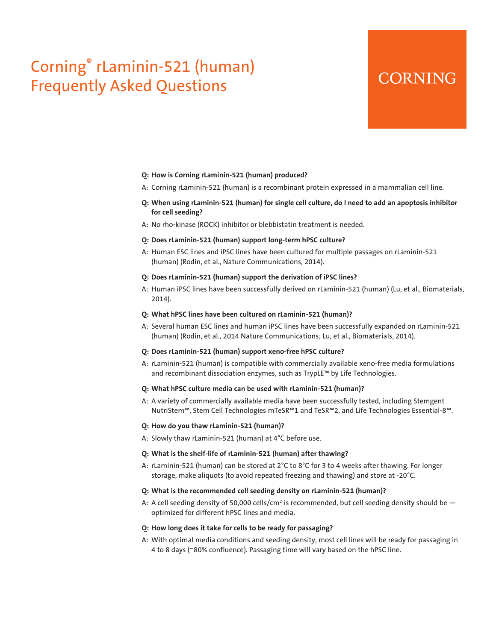# Corning® rLaminin-521 (human) Frequently Asked Questions

# **CORNING**

#### **Q: How is Corning rLaminin-521 (human) produced?**

- A: Corning rLaminin-521 (human) is a recombinant protein expressed in a mammalian cell line.
- **Q: When using rLaminin-521 (human) for single cell culture, do I need to add an apoptosis inhibitor for cell seeding?**
- A: No rho-kinase (ROCK) inhibitor or blebbistatin treatment is needed.

# **Q: Does rLaminin-521 (human) support long-term hPSC culture?**

A: Human ESC lines and iPSC lines have been cultured for multiple passages on rLaminin-521 (human) (Rodin, et al., Nature Communications, 2014).

#### **Q: Does rLaminin-521 (human) support the derivation of iPSC lines?**

A: Human iPSC lines have been successfully derived on rLaminin-521 (human) (Lu, et al., Biomaterials, 2014).

#### **Q: What hPSC lines have been cultured on rLaminin-521 (human)?**

A: Several human ESC lines and human iPSC lines have been successfully expanded on rLaminin-521 (human) (Rodin, et al., 2014 Nature Communications; Lu, et al., Biomaterials, 2014).

#### **Q: Does rLaminin-521 (human) support xeno-free hPSC culture?**

A: rLaminin-521 (human) is compatible with commercially available xeno-free media formulations and recombinant dissociation enzymes, such as TrypLE™ by Life Technologies.

# **Q: What hPSC culture media can be used with rLaminin-521 (human)?**

A: A variety of commercially available media have been successfully tested, including Stemgent NutriStem™, Stem Cell Technologies mTeSR™1 and TeSR™2, and Life Technologies Essential-8™.

# **Q: How do you thaw rLaminin-521 (human)?**

A: Slowly thaw rLaminin-521 (human) at 4°C before use.

# **Q: What is the shelf-life of rLaminin-521 (human) after thawing?**

A: rLaminin-521 (human) can be stored at 2°C to 8°C for 3 to 4 weeks after thawing. For longer storage, make aliquots (to avoid repeated freezing and thawing) and store at -20°C.

### **Q: What is the recommended cell seeding density on rLaminin-521 (human)?**

A: A cell seeding density of 50,000 cells/cm<sup>2</sup> is recommended, but cell seeding density should be  $$ optimized for different hPSC lines and media.

#### **Q: How long does it take for cells to be ready for passaging?**

A: With optimal media conditions and seeding density, most cell lines will be ready for passaging in 4 to 8 days (~80% confluence). Passaging time will vary based on the hPSC line.